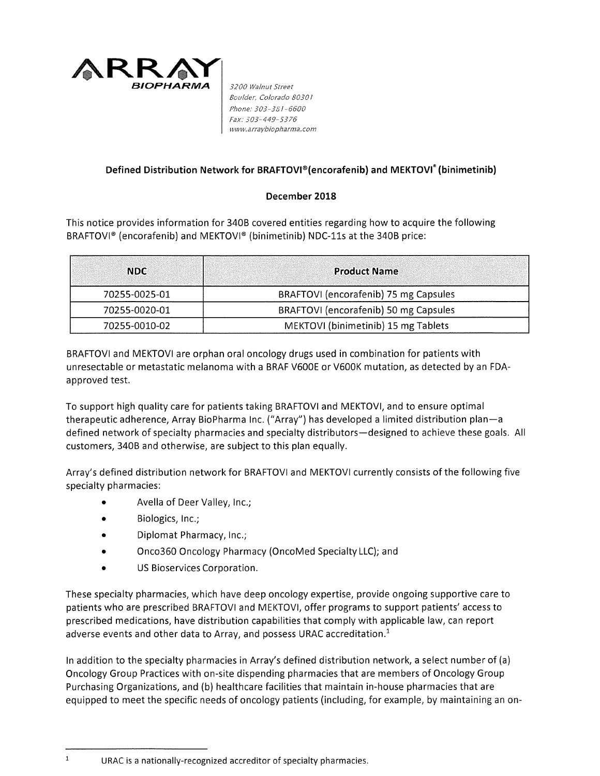

*Boulder, Colorado 8030 l Phone: 303-381-6600 Fax: 303-449-5376 <www.arraybiopharma.com>*

## **Defined Distribution Network for BRAFTOVl®{encorafenib) and MEKTOVI\* {binimetinib)**

## **December 2018**

This notice provides information for 340B covered entities regarding how to acquire the following BRAFTOVI® (encorafenib) and MEKTOVI® (binimetinib) NDC-lls at the 340B price:

| <b>NDC</b>    | <b>Product Name</b>                   |
|---------------|---------------------------------------|
| 70255-0025-01 | BRAFTOVI (encorafenib) 75 mg Capsules |
| 70255-0020-01 | BRAFTOVI (encorafenib) 50 mg Capsules |
| 70255-0010-02 | MEKTOVI (binimetinib) 15 mg Tablets   |

BRAFTOVI and MEKTOVI are orphan oral oncology drugs used in combination for patients with unresectable or metastatic melanoma with a BRAF V600E or V600K mutation, as detected by an FDAapproved test.

To support high quality care for patients taking BRAFTOVI and MEKTOVI, and to ensure optimal therapeutic adherence, Array BioPharma Inc. ("Array") has developed a limited distribution plan-a defined network of specialty pharmacies and specialty distributors—designed to achieve these goals. All customers, 340B and otherwise, are subject to this plan equally.

Array's defined distribution network for BRAFTOVI and MEKTOVI currently consists of the following five specialty pharmacies:

- Avella of Deer Valley, Inc.;
- Biologics, Inc.;
- Diplomat Pharmacy, Inc.;
- Onco360 Oncology Pharmacy (OncoMed Specialty LLC); and
- US Bioservices Corporation.

These specialty pharmacies, which have deep oncology expertise, provide ongoing supportive care to patients who are prescribed BRAFTOVI and MEKTOVI, offer programs to support patients' access to prescribed medications, have distribution capabilities that comply with applicable law, can report adverse events and other data to Array, and possess URAC accreditation. $<sup>1</sup>$ </sup>

In addition to the specialty pharmacies in Array's defined distribution network, a select number of (a) Oncology Group Practices with on-site dispending pharmacies that are members of Oncology Group Purchasing Organizations, and (b) healthcare facilities that maintain in-house pharmacies that are equipped to meet the specific needs of oncology patients (including, for example, by maintaining an on-

 $\mathbf{1}$ 

URAC is a nationally-recognized accreditor of specialty pharmacies.